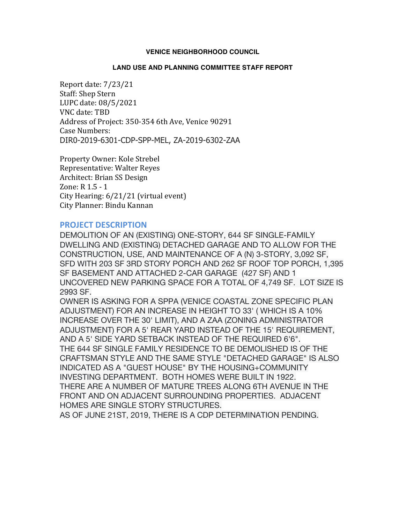## **VENICE NEIGHBORHOOD COUNCIL**

## **LAND USE AND PLANNING COMMITTEE STAFF REPORT**

Report date: 7/23/21 Staff: Shep Stern LUPC date: 08/5/2021 VNC date: TBD Address of Project: 350-354 6th Ave, Venice 90291 Case Numbers: DIR0-2019-6301-CDP-SPP-MEL, ZA-2019-6302-ZAA

Property Owner: Kole Strebel Representative: Walter Reyes Architect: Brian SS Design Zone:  $R$  1.5 - 1 City Hearing:  $6/21/21$  (virtual event) City Planner: Bindu Kannan

## **PROJECT DESCRIPTION**

DEMOLITION OF AN (EXISTING) ONE-STORY, 644 SF SINGLE-FAMILY DWELLING AND (EXISTING) DETACHED GARAGE AND TO ALLOW FOR THE CONSTRUCTION, USE, AND MAINTENANCE OF A (N) 3-STORY, 3,092 SF, SFD WITH 203 SF 3RD STORY PORCH AND 262 SF ROOF TOP PORCH, 1,395 SF BASEMENT AND ATTACHED 2-CAR GARAGE (427 SF) AND 1 UNCOVERED NEW PARKING SPACE FOR A TOTAL OF 4,749 SF. LOT SIZE IS 2993 SF.

OWNER IS ASKING FOR A SPPA (VENICE COASTAL ZONE SPECIFIC PLAN ADJUSTMENT) FOR AN INCREASE IN HEIGHT TO 33' ( WHICH IS A 10% INCREASE OVER THE 30' LIMIT), AND A ZAA (ZONING ADMINISTRATOR ADJUSTMENT) FOR A 5' REAR YARD INSTEAD OF THE 15' REQUIREMENT, AND A 5' SIDE YARD SETBACK INSTEAD OF THE REQUIRED 6'6". THE 644 SF SINGLE FAMILY RESIDENCE TO BE DEMOLISHED IS OF THE CRAFTSMAN STYLE AND THE SAME STYLE "DETACHED GARAGE" IS ALSO INDICATED AS A "GUEST HOUSE" BY THE HOUSING+COMMUNITY INVESTING DEPARTMENT. BOTH HOMES WERE BUILT IN 1922. THERE ARE A NUMBER OF MATURE TREES ALONG 6TH AVENUE IN THE FRONT AND ON ADJACENT SURROUNDING PROPERTIES. ADJACENT HOMES ARE SINGLE STORY STRUCTURES.

AS OF JUNE 21ST, 2019, THERE IS A CDP DETERMINATION PENDING.